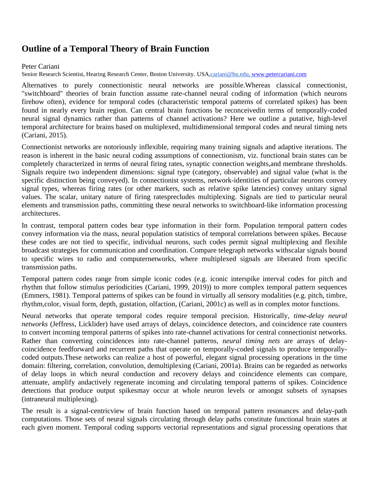## **Outline of a Temporal Theory of Brain Function**

## Peter Cariani

Senior Research Scientist, Hearing Research Center, Boston University. USA[,cariani@bu.edu,](mailto:bill.seaman@duke.edu) [www.petercariani.com](http://www.petercariani.com/)

Alternatives to purely connectionistic neural networks are possible.Whereas classical connectionist, "switchboard" theories of brain function assume rate-channel neural coding of information (which neurons firehow often), evidence for temporal codes (characteristic temporal patterns of correlated spikes) has been found in nearly every brain region. Can central brain functions be reconceivedin terms of temporally-coded neural signal dynamics rather than patterns of channel activations? Here we outline a putative, high-level temporal architecture for brains based on multiplexed, multidimensional temporal codes and neural timing nets (Cariani, 2015).

Connectionist networks are notoriously inflexible, requiring many training signals and adaptive iterations. The reason is inherent in the basic neural coding assumptions of connectionism, viz. functional brain states can be completely characterized in terms of neural firing rates, synaptic connection weights,and membrane thresholds. Signals require two independent dimensions: signal type (category, observable) and signal value (what is the specific distinction being conveyed). In connectionist systems, network-identities of particular neurons convey signal types, whereas firing rates (or other markers, such as relative spike latencies) convey unitary signal values. The scalar, unitary nature of firing ratesprecludes multiplexing. Signals are tied to particular neural elements and transmission paths, committing these neural networks to switchboard-like information processing architectures.

In contrast, temporal pattern codes bear type information in their form. Population temporal pattern codes convey information via the mass, neural population statistics of temporal correlations between spikes. Because these codes are not tied to specific, individual neurons, such codes permit signal multiplexing and flexible broadcast strategies for communication and coordination. Compare telegraph networks withscalar signals bound to specific wires to radio and computernetworks, where multiplexed signals are liberated from specific transmission paths.

Temporal pattern codes range from simple iconic codes (e.g. iconic interspike interval codes for pitch and rhythm that follow stimulus periodicities (Cariani, 1999, 2019)) to more complex temporal pattern sequences (Emmers, 1981). Temporal patterns of spikes can be found in virtually all sensory modalities (e.g. pitch, timbre, rhythm,color, visual form, depth, gustation, olfaction, (Cariani, 2001c) as well as in complex motor functions.

Neural networks that operate temporal codes require temporal precision. Historically, *time-delay neural networks* (Jeffress, Licklider) have used arrays of delays, coincidence detectors, and coincidence rate counters to convert incoming temporal patterns of spikes into rate-channel activations for central connectionist networks. Rather than converting coincidences into rate-channel patterns, n*eural timing nets* are arrays of delaycoincidence feedforward and recurrent paths that operate on temporally-coded signals to produce temporallycoded outputs.These networks can realize a host of powerful, elegant signal processing operations in the time domain: filtering, correlation, convolution, demultiplexing (Cariani, 2001a). Brains can be regarded as networks of delay loops in which neural conduction and recovery delays and coincidence elements can compare, attenuate, amplify andactively regenerate incoming and circulating temporal patterns of spikes. Coincidence detections that produce output spikesmay occur at whole neuron levels or amongst subsets of synapses (intraneural multiplexing).

The result is a signal-centricview of brain function based on temporal pattern resonances and delay-path computations. Those sets of neural signals circulating through delay paths constitute functional brain states at each given moment. Temporal coding supports vectorial representations and signal processing operations that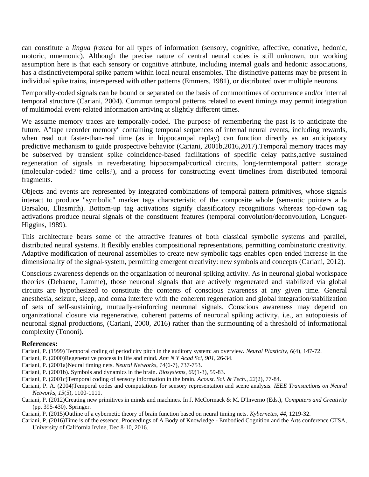can constitute a *lingua franca* for all types of information (sensory, cognitive, affective, conative, hedonic, motoric, mnemonic). Although the precise nature of central neural codes is still unknown, our working assumption here is that each sensory or cognitive attribute, including internal goals and hedonic associations, has a distinctivetemporal spike pattern within local neural ensembles. The distinctive patterns may be present in individual spike trains, interspersed with other patterns (Emmers, 1981), or distributed over multiple neurons.

Temporally-coded signals can be bound or separated on the basis of commontimes of occurrence and/or internal temporal structure (Cariani, 2004). Common temporal patterns related to event timings may permit integration of multimodal event-related information arriving at slightly different times.

We assume memory traces are temporally-coded. The purpose of remembering the past is to anticipate the future. A"tape recorder memory" containing temporal sequences of internal neural events, including rewards, when read out faster-than-real time (as in hippocampal replay) can function directly as an anticipatory predictive mechanism to guide prospective behavior (Cariani, 2001b,2016,2017).Temporal memory traces may be subserved by transient spike coincidence-based facilitations of specific delay paths,active sustained regeneration of signals in reverberating hippocampal/cortical circuits, long-termtemporal pattern storage (molecular-coded? time cells?), and a process for constructing event timelines from distributed temporal fragments.

Objects and events are represented by integrated combinations of temporal pattern primitives, whose signals interact to produce "symbolic" marker tags characteristic of the composite whole (semantic pointers a la Barsalou, Eliasmith). Bottom-up tag activations signify classificatory recognitions whereas top-down tag activations produce neural signals of the constituent features (temporal convolution/deconvolution, Longuet-Higgins, 1989).

This architecture bears some of the attractive features of both classical symbolic systems and parallel, distributed neural systems. It flexibly enables compositional representations, permitting combinatoric creativity. Adaptive modification of neuronal assemblies to create new symbolic tags enables open ended increase in the dimensionality of the signal-system, permitting emergent creativity: new symbols and concepts (Cariani, 2012).

Conscious awareness depends on the organization of neuronal spiking activity. As in neuronal global workspace theories (Dehaene, Lamme), those neuronal signals that are actively regenerated and stabilized via global circuits are hypothesized to constitute the contents of conscious awareness at any given time. General anesthesia, seizure, sleep, and coma interfere with the coherent regeneration and global integration/stabilization of sets of self-sustaining, mutually-reinforcing neuronal signals. Conscious awareness may depend on organizational closure via regenerative, coherent patterns of neuronal spiking activity, i.e., an autopoiesis of neuronal signal productions, (Cariani, 2000, 2016) rather than the surmounting of a threshold of informational complexity (Tononi).

## **References:**

- Cariani, P. (1999) Temporal coding of periodicity pitch in the auditory system: an overview. *Neural Plasticity*, *6*(4), 147-72.
- Cariani, P. (2000)Regenerative process in life and mind. *Ann N Y Acad Sci*, *901*, 26-34.
- Cariani, P. (2001a)Neural timing nets. *Neural Networks*, *14*(6-7), 737-753.
- Cariani, P. (2001b). Symbols and dynamics in the brain. *Biosystems*, *60*(1-3), 59-83.
- Cariani, P. (2001c)Temporal coding of sensory information in the brain. *Acoust. Sci. & Tech.*, *22*(2), 77-84.
- Cariani, P. A. (2004)Temporal codes and computations for sensory representation and scene analysis. *IEEE Transactions on Neural Networks*, *15*(5), 1100-1111.
- Cariani, P. (2012)Creating new primitives in minds and machines. In J. McCormack & M. D'Inverno (Eds.), *Computers and Creativity* (pp. 395-430). Springer.
- Cariani, P. (2015)Outline of a cybernetic theory of brain function based on neural timing nets. *Kybernetes*, *44*, 1219-32.
- Cariani, P. (2016)Time is of the essence. Proceedings of A Body of Knowledge Embodied Cognition and the Arts conference CTSA, University of California Irvine, Dec 8-10, 2016.